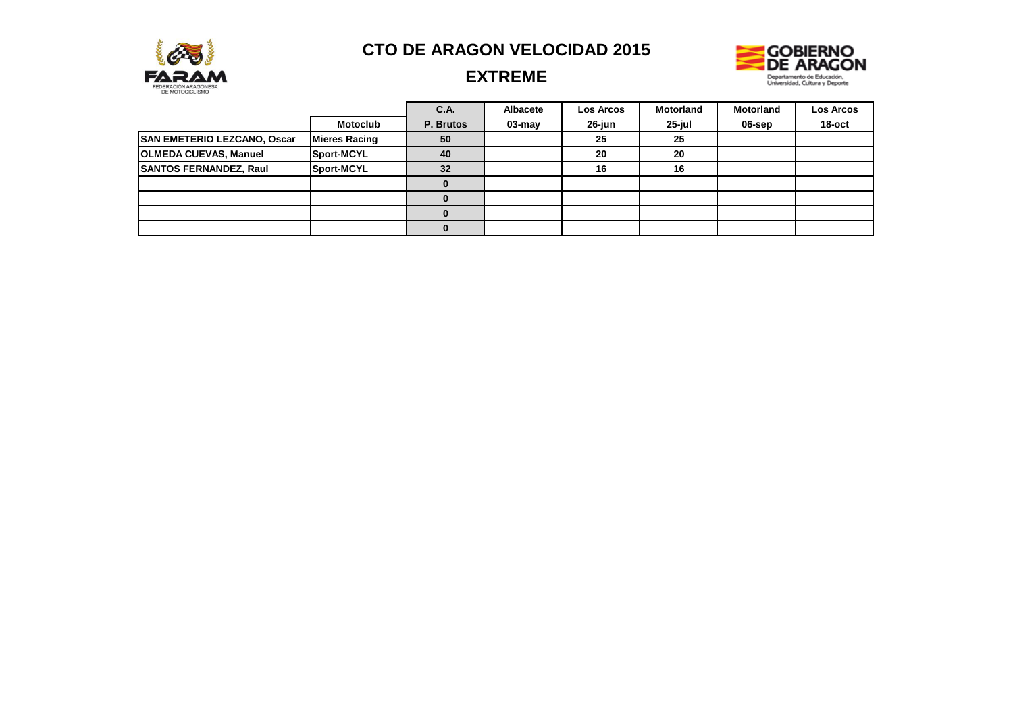



# **EXTREME**

|                               |                      | C.A.      | Albacete | <b>Los Arcos</b> | <b>Motorland</b> | <b>Motorland</b> | Los Arcos |
|-------------------------------|----------------------|-----------|----------|------------------|------------------|------------------|-----------|
|                               | <b>Motoclub</b>      | P. Brutos | 03-may   | 26-jun           | 25-jul           | 06-sep           | 18-oct    |
| SAN EMETERIO LEZCANO, Oscar   | <b>Mieres Racing</b> | 50        |          | 25               | 25               |                  |           |
| <b>OLMEDA CUEVAS, Manuel</b>  | Sport-MCYL           | 40        |          | 20               | 20               |                  |           |
| <b>SANTOS FERNANDEZ, Raul</b> | Sport-MCYL           | 32        |          | 16               | 16               |                  |           |
|                               |                      | 0         |          |                  |                  |                  |           |
|                               |                      |           |          |                  |                  |                  |           |
|                               |                      |           |          |                  |                  |                  |           |
|                               |                      |           |          |                  |                  |                  |           |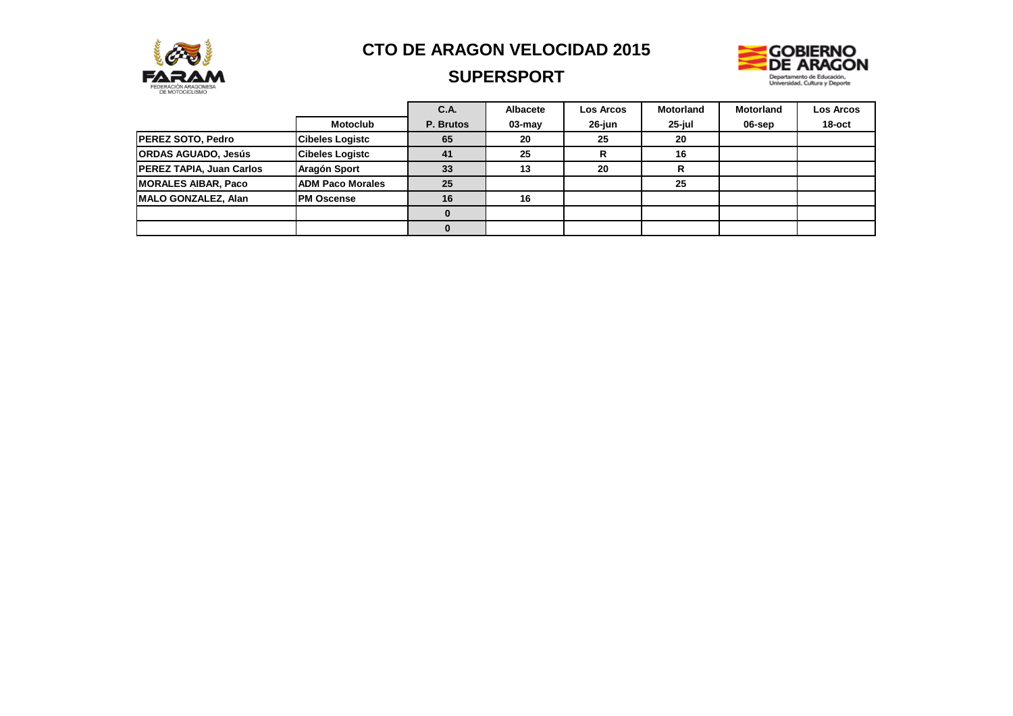

## **SUPERSPORT**



|                                 |                         | C.A.      | <b>Albacete</b> | <b>Los Arcos</b> | <b>Motorland</b> | <b>Motorland</b> | <b>Los Arcos</b> |
|---------------------------------|-------------------------|-----------|-----------------|------------------|------------------|------------------|------------------|
|                                 | <b>Motoclub</b>         | P. Brutos | $03$ -may       | 26-jun           | 25-jul           | 06-sep           | $18$ -oct        |
| <b>PEREZ SOTO, Pedro</b>        | <b>Cibeles Logistc</b>  | 65        | 20              | 25               | 20               |                  |                  |
| <b>ORDAS AGUADO, Jesús</b>      | <b>Cibeles Logistc</b>  | 41        | 25              |                  | 16               |                  |                  |
| <b>PEREZ TAPIA, Juan Carlos</b> | Aragón Sport            | 33        | 13              | 20               |                  |                  |                  |
| <b>MORALES AIBAR, Paco</b>      | <b>ADM Paco Morales</b> | 25        |                 |                  | 25               |                  |                  |
| <b>IMALO GONZALEZ, Alan</b>     | <b>PM Oscense</b>       | 16        | 16              |                  |                  |                  |                  |
|                                 |                         |           |                 |                  |                  |                  |                  |
|                                 |                         |           |                 |                  |                  |                  |                  |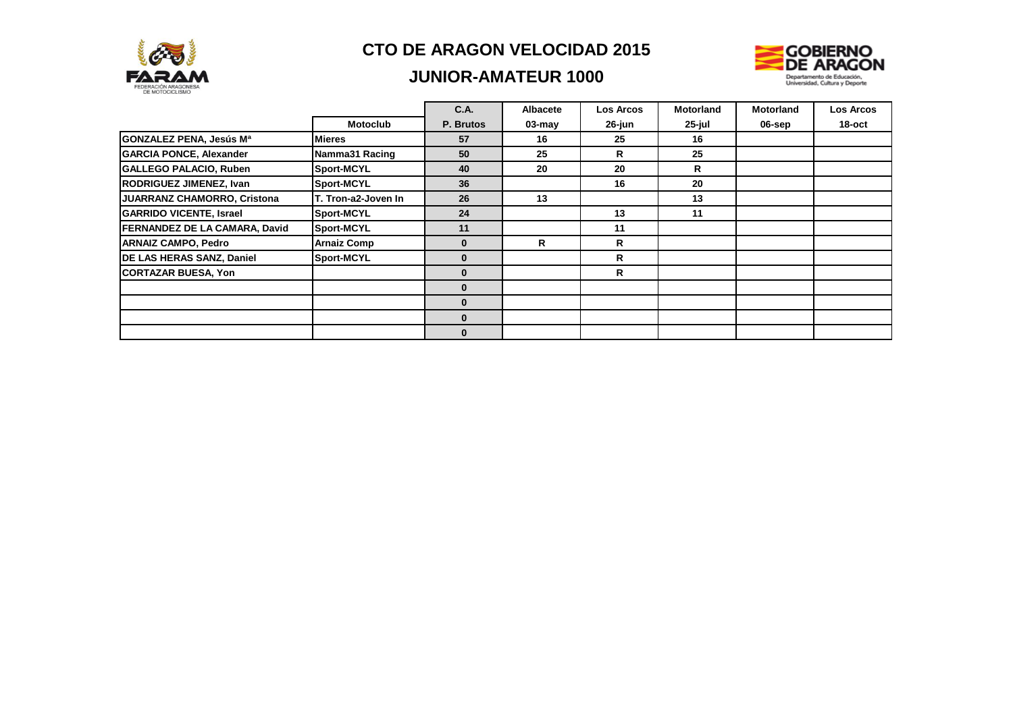

## **JUNIOR-AMATEUR 1000**



|                                    |                     | <b>C.A.</b>  | Albacete   | <b>Los Arcos</b> | <b>Motorland</b> | <b>Motorland</b> | <b>Los Arcos</b> |
|------------------------------------|---------------------|--------------|------------|------------------|------------------|------------------|------------------|
|                                    | <b>Motoclub</b>     | P. Brutos    | $03 - may$ | 26-jun           | 25-jul           | 06-sep           | 18-oct           |
| GONZALEZ PENA, Jesús Mª            | <b>IMieres</b>      | 57           | 16         | 25               | 16               |                  |                  |
| <b>GARCIA PONCE, Alexander</b>     | Namma31 Racing      | 50           | 25         | R                | 25               |                  |                  |
| <b>GALLEGO PALACIO, Ruben</b>      | <b>Sport-MCYL</b>   | 40           | 20         | 20               | $\mathsf{R}$     |                  |                  |
| RODRIGUEZ JIMENEZ, Ivan            | Sport-MCYL          | 36           |            | 16               | 20               |                  |                  |
| <b>JUARRANZ CHAMORRO, Cristona</b> | T. Tron-a2-Joven In | 26           | 13         |                  | 13               |                  |                  |
| <b>GARRIDO VICENTE, Israel</b>     | <b>Sport-MCYL</b>   | 24           |            | 13               | 11               |                  |                  |
| FERNANDEZ DE LA CAMARA, David      | Sport-MCYL          | 11           |            | 11               |                  |                  |                  |
| <b>ARNAIZ CAMPO, Pedro</b>         | <b>Arnaiz Comp</b>  | $\mathbf{0}$ | R          | R                |                  |                  |                  |
| DE LAS HERAS SANZ, Daniel          | Sport-MCYL          | $\mathbf{0}$ |            | R                |                  |                  |                  |
| <b>CORTAZAR BUESA, Yon</b>         |                     | $\mathbf{0}$ |            | R                |                  |                  |                  |
|                                    |                     | $\mathbf{0}$ |            |                  |                  |                  |                  |
|                                    |                     | $\bf{0}$     |            |                  |                  |                  |                  |
|                                    |                     | $\mathbf{0}$ |            |                  |                  |                  |                  |
|                                    |                     | $\bf{0}$     |            |                  |                  |                  |                  |